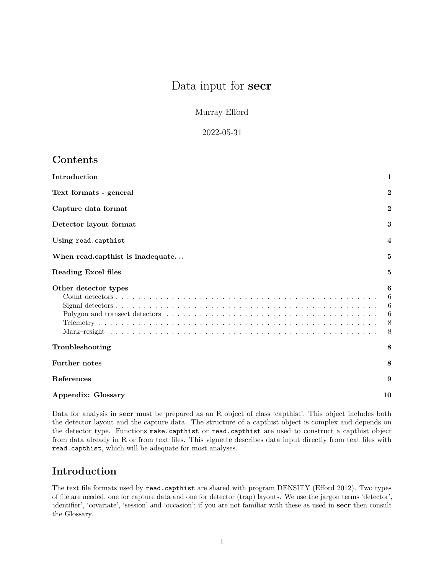# Data input for **secr**

Murray Efford

### 2022-05-31

# **Contents**

| Introduction                     | 1                          |
|----------------------------------|----------------------------|
| Text formats - general           | $\bf{2}$                   |
| Capture data format              | $\mathbf{2}$               |
| Detector layout format           | 3                          |
| Using read.capthist              | $\overline{4}$             |
| When read.capthist is inadequate | 5                          |
| Reading Excel files              | 5                          |
| Other detector types             | 6<br>6<br>6<br>6<br>8<br>8 |
| Troubleshooting                  | 8                          |
| <b>Further notes</b>             | 8                          |
| <b>References</b>                | 9                          |
| <b>Appendix: Glossary</b>        | 10                         |

Data for analysis in **secr** must be prepared as an R object of class 'capthist'. This object includes both the detector layout and the capture data. The structure of a capthist object is complex and depends on the detector type. Functions make.capthist or read.capthist are used to construct a capthist object from data already in R or from text files. This vignette describes data input directly from text files with read.capthist, which will be adequate for most analyses.

# <span id="page-0-0"></span>**Introduction**

The text file formats used by read.capthist are shared with program DENSITY (Efford 2012). Two types of file are needed, one for capture data and one for detector (trap) layouts. We use the jargon terms 'detector', 'identifier', 'covariate', 'session' and 'occasion'; if you are not familiar with these as used in **secr** then consult the [Glossary.](#page-9-1)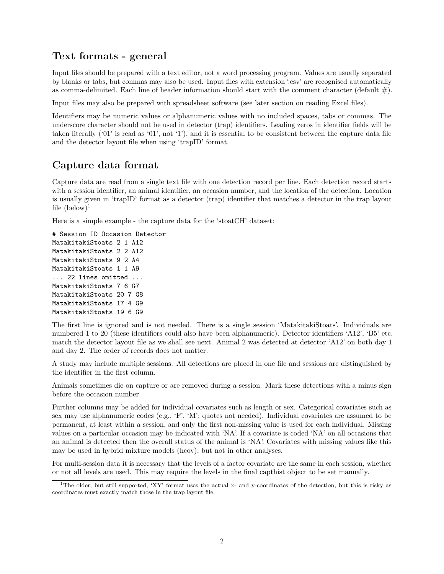## <span id="page-1-0"></span>**Text formats - general**

Input files should be prepared with a text editor, not a word processing program. Values are usually separated by blanks or tabs, but commas may also be used. Input files with extension '.csv' are recognised automatically as comma-delimited. Each line of header information should start with the comment character (default  $\#$ ).

Input files may also be prepared with spreadsheet software (see later section on [reading Excel files\)](#page-4-2).

Identifiers may be numeric values or alphanumeric values with no included spaces, tabs or commas. The underscore character should not be used in detector (trap) identifiers. Leading zeros in identifier fields will be taken literally ('01' is read as '01', not '1'), and it is essential to be consistent between the capture data file and the detector layout file when using 'trapID' format.

# <span id="page-1-1"></span>**Capture data format**

Capture data are read from a single text file with one detection record per line. Each detection record starts with a session identifier, an animal identifier, an occasion number, and the location of the detection. Location is usually given in 'trapID' format as a detector (trap) identifier that matches a detector in the trap layout file  $(below)^1$  $(below)^1$ 

Here is a simple example - the capture data for the 'stoatCH' dataset:

```
# Session ID Occasion Detector
MatakitakiStoats 2 1 A12
MatakitakiStoats 2 2 A12
MatakitakiStoats 9 2 A4
MatakitakiStoats 1 1 A9
... 22 lines omitted ...
MatakitakiStoats 7 6 G7
MatakitakiStoats 20 7 G8
MatakitakiStoats 17 4 G9
MatakitakiStoats 19 6 G9
```
The first line is ignored and is not needed. There is a single session 'MatakitakiStoats'. Individuals are numbered 1 to 20 (these identifiers could also have been alphanumeric). Detector identifiers 'A12', 'B5' etc. match the detector layout file as we shall see next. Animal 2 was detected at detector 'A12' on both day 1 and day 2. The order of records does not matter.

A study may include multiple sessions. All detections are placed in one file and sessions are distinguished by the identifier in the first column.

Animals sometimes die on capture or are removed during a session. Mark these detections with a minus sign before the occasion number.

Further columns may be added for individual covariates such as length or sex. Categorical covariates such as sex may use alphanumeric codes (e.g., 'F', 'M'; quotes not needed). Individual covariates are assumed to be permanent, at least within a session, and only the first non-missing value is used for each individual. Missing values on a particular occasion may be indicated with 'NA'. If a covariate is coded 'NA' on all occasions that an animal is detected then the overall status of the animal is 'NA'. Covariates with missing values like this may be used in hybrid mixture models (hcov), but not in other analyses.

For multi-session data it is necessary that the levels of a factor covariate are the same in each session, whether or not all levels are used. This may require the levels in the final capthist object to be set manually.

<span id="page-1-2"></span><sup>&</sup>lt;sup>1</sup>The older, but still supported, 'XY' format uses the actual x- and y-coordinates of the detection, but this is risky as coordinates must exactly match those in the trap layout file.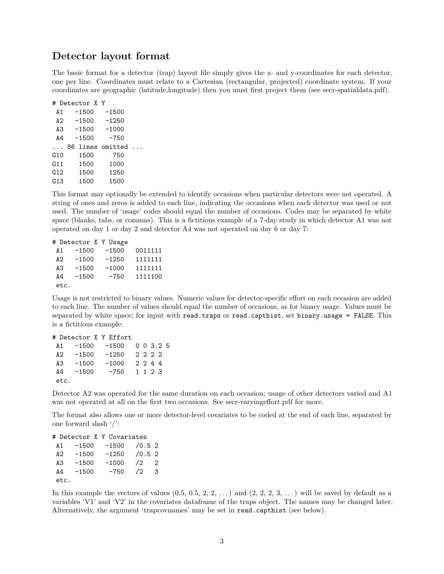### <span id="page-2-0"></span>**Detector layout format**

The basic format for a detector (trap) layout file simply gives the x- and y-coordinates for each detector, one per line. Coordinates must relate to a Cartesian (rectangular, projected) coordinate system. If your coordinates are geographic (latitude,longitude) then you must first project them (see [secr-spatialdata.pdf\)](https://www.otago.ac.nz/density/pdfs/secr-spatialdata.pdf).

|              | # Detector X Y    |         |  |
|--------------|-------------------|---------|--|
| A1           | $-1500$           | $-1500$ |  |
| A2           | $-1500$           | $-1250$ |  |
| A3           | $-1500$           | $-1000$ |  |
| A4           | $-1500$           | $-750$  |  |
| $\mathbf{1}$ | 86 lines omitted. |         |  |
| G10          | 1500              | 750     |  |
| G11          | 1500              | 1000    |  |
| G12          | 1500              | 1250    |  |
|              |                   |         |  |
| G13          | 1500              | 1500    |  |

This format may optionally be extended to identify occasions when particular detectors were not operated. A string of ones and zeros is added to each line, indicating the occasions when each detector was used or not used. The number of 'usage' codes should equal the number of occasions. Codes may be separated by white space (blanks, tabs, or commas). This is a fictitious example of a 7-day study in which detector A1 was not operated on day 1 or day 2 and detector A4 was not operated on day 6 or day 7:

```
# Detector X Y Usage
A1 -1500 -1500 0011111
A2 -1500 -1250 1111111
A3 -1500 -1000 1111111
A4 -1500 -750 1111100
etc.
```
Usage is not restricted to binary values. Numeric values for detector-specific effort on each occasion are added to each line. The number of values should equal the number of occasions, as for binary usage. Values must be separated by white space; for input with read.traps or read.capthist, set binary.usage = FALSE. This is a fictitious example:

```
# Detector X Y Effort
A1 -1500 -1500 0 0 3.2 5
A2 -1500 -1250 2 2 2 2
A3 -1500 -1000 2 2 4 4
A4 -1500 -750 1 1 2 3
etc.
```
Detector A2 was operated for the same duration on each occasion; usage of other detectors varied and A1 was not operated at all on the first two occasions. See [secr-varyingeffort.pdf](https://www.otago.ac.nz/density/pdfs/secr-varyingeffort.pdf) for more.

The format also allows one or more detector-level covariates to be coded at the end of each line, separated by one forward slash '/':

| # Detector X Y Covariates |         |         |            |                |  |  |  |
|---------------------------|---------|---------|------------|----------------|--|--|--|
| A 1                       | $-1500$ | $-1500$ | /0.52      |                |  |  |  |
| A <sub>2</sub>            | $-1500$ | $-1250$ | /0.52      |                |  |  |  |
| AЗ                        | $-1500$ | $-1000$ | /2         | $\overline{2}$ |  |  |  |
| A4                        | $-1500$ | $-750$  | $\sqrt{2}$ | 3              |  |  |  |
| etc.                      |         |         |            |                |  |  |  |

In this example the vectors of values  $(0.5, 0.5, 2, 2, ...)$  and  $(2, 2, 2, 3, ...)$  will be saved by default as a variables 'V1' and 'V2' in the covariates dataframe of the traps object. The names may be changed later. Alternatively, the argument 'trapcovnames' may be set in read.capthist (see below).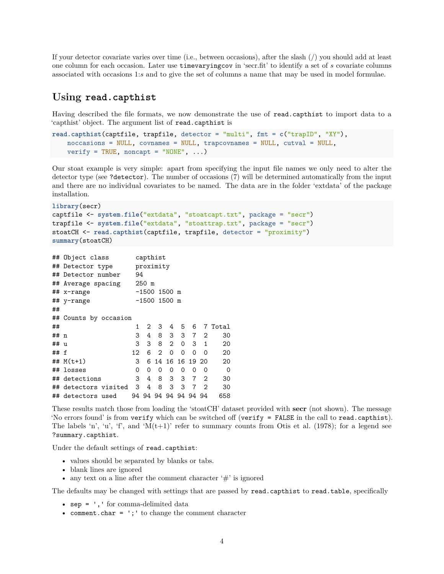If your detector covariate varies over time (i.e., between occasions), after the slash (/) you should add at least one column for each occasion. Later use timevaryingcov in 'secr.fit' to identify a set of *s* covariate columns associated with occasions 1:*s* and to give the set of columns a name that may be used in model formulae.

### <span id="page-3-0"></span>**Using read.capthist**

Having described the file formats, we now demonstrate the use of read.capthist to import data to a 'capthist' object. The argument list of read.capthist is

```
read.capthist(captfile, trapfile, detector = "multi", fmt = c("trapID", "XY"),
    noccasions = NULL, covnames = NULL, trapcovnames = NULL, cutval = NULL,
    verify = TRUE, noncapt = "NONE", \ldots)
```
Our stoat example is very simple: apart from specifying the input file names we only need to alter the detector type (see ?detector). The number of occasions (7) will be determined automatically from the input and there are no individual covariates to be named. The data are in the folder 'extdata' of the package installation.

```
library(secr)
captfile <- system.file("extdata", "stoatcapt.txt", package = "secr")
trapfile <- system.file("extdata", "stoattrap.txt", package = "secr")
stoatCH <- read.capthist(captfile, trapfile, detector = "proximity")
summary(stoatCH)
```

```
## Object class capthist
## Detector type proximity
## Detector number 94
## Average spacing 250 m
## x-range -1500 1500 m
## y-range -1500 1500 m
##
## Counts by occasion
## 1 2 3 4 5 6 7 Total
## n 3 4 8 3 3 7 2 30
## u 3 3 8 2 0 3 1 20
## f 12 6 2 0 0 0 0 20
## M(t+1) 3 6 14 16 16 19 20 20
## losses 0 0 0 0 0 0 0 0
## detections 3 4 8 3 3 7 2 30
## detectors visited 3 4 8 3 3 7 2 30
## detectors used 94 94 94 94 94 94 94 658
```
These results match those from loading the 'stoatCH' dataset provided with **secr** (not shown). The message 'No errors found' is from verify which can be switched off (verify = FALSE in the call to read.capthist). The labels 'n', 'u', 'f', and ' $M(t+1)$ ' refer to summary counts from Otis et al. (1978); for a legend see ?summary.capthist.

Under the default settings of read.capthist:

- values should be separated by blanks or tabs.
- blank lines are ignored
- any text on a line after the comment character  $\ddot{\#}$  is ignored

The defaults may be changed with settings that are passed by read.capthist to read.table, specifically

- sep = ',' for comma-delimited data
- comment.char =  $'$ ;  $'$  to change the comment character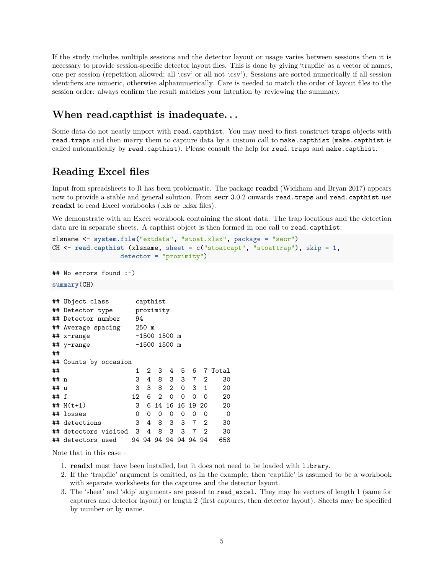If the study includes multiple sessions and the detector layout or usage varies between sessions then it is necessary to provide session-specific detector layout files. This is done by giving 'trapfile' as a vector of names, one per session (repetition allowed; all '.csv' or all not '.csv'). Sessions are sorted numerically if all session identifiers are numeric, otherwise alphanumerically. Care is needed to match the order of layout files to the session order: always confirm the result matches your intention by reviewing the summary.

# <span id="page-4-0"></span>**When read.capthist is inadequate. . .**

Some data do not neatly import with read.capthist. You may need to first construct traps objects with read.traps and then marry them to capture data by a custom call to make.capthist (make.capthist is called automatically by read.capthist). Please consult the help for read.traps and make.capthist.

# <span id="page-4-2"></span><span id="page-4-1"></span>**Reading Excel files**

Input from spreadsheets to R has been problematic. The package **readxl** (Wickham and Bryan 2017) appears now to provide a stable and general solution. From **secr** 3.0.2 onwards read.traps and read.capthist use **readxl** to read Excel workbooks (.xls or .xlsx files).

We demonstrate with an Excel workbook containing the stoat data. The trap locations and the detection data are in separate sheets. A capthist object is then formed in one call to read.capthist:

```
xlsname <- system.file("extdata", "stoat.xlsx", package = "secr")
CH <- read.capthist (xlsname, sheet = c("stoatcapt", "stoattrap"), skip = 1,
                  detector = "proximity")
```

```
## No errors found :-)
```
**summary**(CH)

|      | ## Object class               |  | capthist |                      |                |                |                  |                |                |             |
|------|-------------------------------|--|----------|----------------------|----------------|----------------|------------------|----------------|----------------|-------------|
|      | proximity<br>## Detector type |  |          |                      |                |                |                  |                |                |             |
|      | ## Detector number<br>94      |  |          |                      |                |                |                  |                |                |             |
|      | $250$ m<br>## Average spacing |  |          |                      |                |                |                  |                |                |             |
|      | $\#$ # x-range                |  |          | -1500 1500 m         |                |                |                  |                |                |             |
|      | $-1500$ 1500 m<br>## y-range  |  |          |                      |                |                |                  |                |                |             |
| ##   |                               |  |          |                      |                |                |                  |                |                |             |
|      | ## Counts by occasion         |  |          |                      |                |                |                  |                |                |             |
| ##   |                               |  | 1        |                      | 2 3            | 4              | 5.               | - 6            |                | 7 Total     |
| ## n |                               |  | 3        | 4                    | 8              | 3              | 3                |                | 7 <sup>2</sup> | 30          |
| ## u |                               |  | 3        | 3                    | 8              | $\overline{2}$ | 0                |                | 3 1            | 20          |
| ## f |                               |  | 12       | 6                    | $\overline{2}$ | $\Omega$       | $\Omega$         | $\Omega$       | $\Omega$       | 20          |
|      | ## $M(t+1)$                   |  | 3        |                      |                |                | 6 14 16 16 19 20 |                |                | 20          |
|      | ## losses                     |  | 0        | 0                    | 0              | 0              | 0                | 0              | 0              | $\mathbf 0$ |
|      | ## detections                 |  | 3        | 4                    | 8.             | 3              | 3                | $\overline{7}$ | -2             | 30          |
|      | ## detectors visited          |  | 3        | 4                    | 8              | 3              | 3                | $\overline{7}$ | $\overline{2}$ | 30          |
|      | ## detectors used             |  |          | 94 94 94 94 94 94 94 |                |                |                  |                |                | 658         |

Note that in this case –

- 1. **readxl** must have been installed, but it does not need to be loaded with library.
- 2. If the 'trapfile' argument is omitted, as in the example, then 'captfile' is assumed to be a workbook with separate worksheets for the captures and the detector layout.
- 3. The 'sheet' and 'skip' arguments are passed to read\_excel. They may be vectors of length 1 (same for captures and detector layout) or length 2 (first captures, then detector layout). Sheets may be specified by number or by name.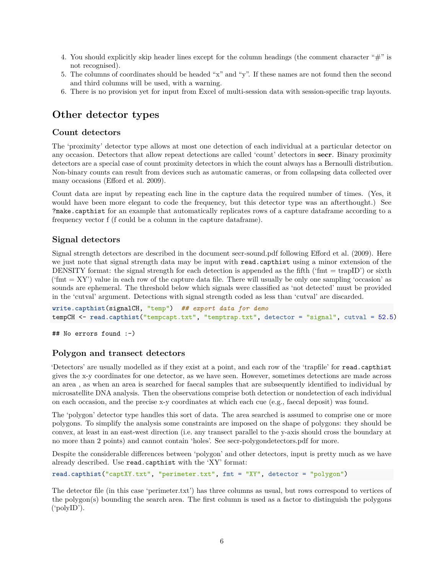- 4. You should explicitly skip header lines except for the column headings (the comment character "#" is not recognised).
- 5. The columns of coordinates should be headed "x" and "y". If these names are not found then the second and third columns will be used, with a warning.
- 6. There is no provision yet for input from Excel of multi-session data with session-specific trap layouts.

# <span id="page-5-0"></span>**Other detector types**

### <span id="page-5-1"></span>**Count detectors**

The 'proximity' detector type allows at most one detection of each individual at a particular detector on any occasion. Detectors that allow repeat detections are called 'count' detectors in **secr**. Binary proximity detectors are a special case of count proximity detectors in which the count always has a Bernoulli distribution. Non-binary counts can result from devices such as automatic cameras, or from collapsing data collected over many occasions (Efford et al. 2009).

Count data are input by repeating each line in the capture data the required number of times. (Yes, it would have been more elegant to code the frequency, but this detector type was an afterthought.) See ?make.capthist for an example that automatically replicates rows of a capture dataframe according to a frequency vector f (f could be a column in the capture dataframe).

#### <span id="page-5-2"></span>**Signal detectors**

Signal strength detectors are described in the document [secr-sound.pdf](https://www.otago.ac.nz/density/pdfs/secr-sound.pdf) following Efford et al. (2009). Here we just note that signal strength data may be input with read.capthist using a minor extension of the DENSITY format: the signal strength for each detection is appended as the fifth ('fmt = trapID') or sixth  $(\text{fmt} = XY')$  value in each row of the capture data file. There will usually be only one sampling 'occasion' as sounds are ephemeral. The threshold below which signals were classified as 'not detected' must be provided in the 'cutval' argument. Detections with signal strength coded as less than 'cutval' are discarded.

**write.capthist**(signalCH, "temp") *## export data for demo* tempCH <- read.capthist("tempcapt.txt", "temptrap.txt", detector = "signal", cutval = 52.5)

## No errors found :-)

### <span id="page-5-3"></span>**Polygon and transect detectors**

'Detectors' are usually modelled as if they exist at a point, and each row of the 'trapfile' for read.capthist gives the x-y coordinates for one detector, as we have seen. However, sometimes detections are made across an area , as when an area is searched for faecal samples that are subsequently identified to individual by microsatellite DNA analysis. Then the observations comprise both detection or nondetection of each individual on each occasion, and the precise x-y coordinates at which each cue (e.g., faecal deposit) was found.

The 'polygon' detector type handles this sort of data. The area searched is assumed to comprise one or more polygons. To simplify the analysis some constraints are imposed on the shape of polygons: they should be convex, at least in an east-west direction (i.e. any transect parallel to the y-axis should cross the boundary at no more than 2 points) and cannot contain 'holes'. See [secr-polygondetectors.pdf](https://www.otago.ac.nz/density/pdfs/secr-polygondetectors.pdf) for more.

Despite the considerable differences between 'polygon' and other detectors, input is pretty much as we have already described. Use read.capthist with the 'XY' format:

**read.capthist**("captXY.txt", "perimeter.txt", fmt = "XY", detector = "polygon")

The detector file (in this case 'perimeter.txt') has three columns as usual, but rows correspond to vertices of the polygon(s) bounding the search area. The first column is used as a factor to distinguish the polygons ('polyID').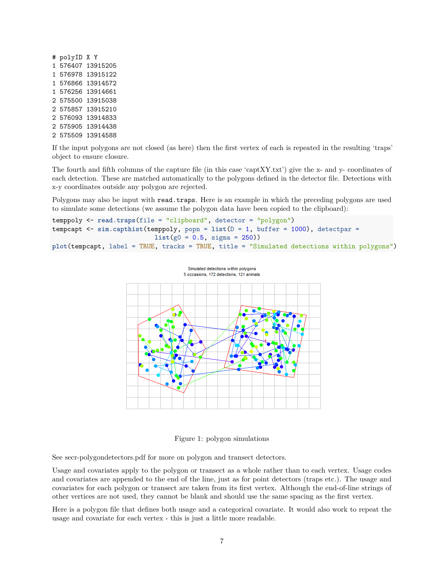If the input polygons are not closed (as here) then the first vertex of each is repeated in the resulting 'traps' object to ensure closure.

The fourth and fifth columns of the capture file (in this case 'captXY.txt') give the x- and y- coordinates of each detection. These are matched automatically to the polygons defined in the detector file. Detections with x-y coordinates outside any polygon are rejected.

Polygons may also be input with read.traps. Here is an example in which the preceding polygons are used to simulate some detections (we assume the polygon data have been copied to the clipboard):

```
temppoly <- read.traps(file = "clipboard", detector = "polygon")
tempcapt \leq sim.capthist(temppoly, popn = list(D = 1, buffer = 1000), detectpar =
                           list(g0 = 0.5, sigma = 250))
plot(tempcapt, label = TRUE, tracks = TRUE, title = "Simulated detections within polygons")
```


Figure 1: polygon simulations

See [secr-polygondetectors.pdf](https://www.otago.ac.nz/density/pdfs/secr-polygondetectors.pdf) for more on polygon and transect detectors.

Usage and covariates apply to the polygon or transect as a whole rather than to each vertex. Usage codes and covariates are appended to the end of the line, just as for point detectors (traps etc.). The usage and covariates for each polygon or transect are taken from its first vertex. Although the end-of-line strings of other vertices are not used, they cannot be blank and should use the same spacing as the first vertex.

Here is a polygon file that defines both usage and a categorical covariate. It would also work to repeat the usage and covariate for each vertex - this is just a little more readable.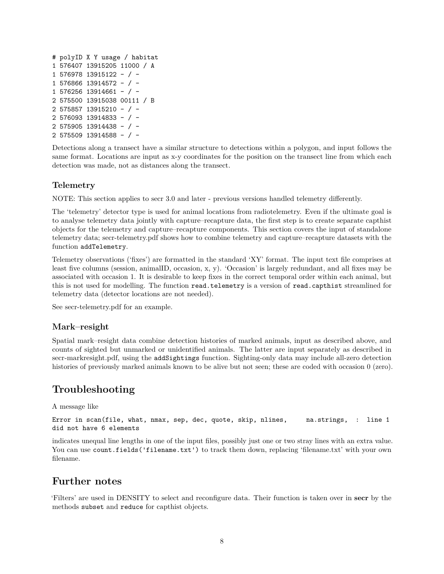```
# polyID X Y usage / habitat
1 576407 13915205 11000 / A
1 576978 13915122 - / -
1 576866 13914572 - / -
1 576256 13914661 - / -
2 575500 13915038 00111 / B
2 575857 13915210 - / -
2 576093 13914833 - / -
2 575905 13914438 - / -
2 575509 13914588 - / -
```
Detections along a transect have a similar structure to detections within a polygon, and input follows the same format. Locations are input as x-y coordinates for the position on the transect line from which each detection was made, not as distances along the transect.

### <span id="page-7-0"></span>**Telemetry**

NOTE: This section applies to secr 3.0 and later - previous versions handled telemetry differently.

The 'telemetry' detector type is used for animal locations from radiotelemetry. Even if the ultimate goal is to analyse telemetry data jointly with capture–recapture data, the first step is to create separate capthist objects for the telemetry and capture–recapture components. This section covers the input of standalone telemetry data; [secr-telemetry.pdf](https://www.otago.ac.nz/density/pdfs/secr-telemetry.pdf) shows how to combine telemetry and capture–recapture datasets with the function addTelemetry.

Telemetry observations ('fixes') are formatted in the standard 'XY' format. The input text file comprises at least five columns (session, animalID, occasion, x, y). 'Occasion' is largely redundant, and all fixes may be associated with occasion 1. It is desirable to keep fixes in the correct temporal order within each animal, but this is not used for modelling. The function read.telemetry is a version of read.capthist streamlined for telemetry data (detector locations are not needed).

See [secr-telemetry.pdf](https://www.otago.ac.nz/density/pdfs/secr-telemetry.pdf) for an example.

### <span id="page-7-1"></span>**Mark–resight**

Spatial mark–resight data combine detection histories of marked animals, input as described above, and counts of sighted but unmarked or unidentified animals. The latter are input separately as described in [secr-markresight.pdf,](https://www.otago.ac.nz/density/pdfs/secr-markresight.pdf) using the addSightings function. Sighting-only data may include all-zero detection histories of previously marked animals known to be alive but not seen; these are coded with occasion 0 (zero).

# <span id="page-7-2"></span>**Troubleshooting**

A message like

Error in scan(file, what, nmax, sep, dec, quote, skip, nlines, na.strings, : line 1 did not have 6 elements

indicates unequal line lengths in one of the input files, possibly just one or two stray lines with an extra value. You can use count.fields('filename.txt') to track them down, replacing 'filename.txt' with your own filename.

# <span id="page-7-3"></span>**Further notes**

'Filters' are used in DENSITY to select and reconfigure data. Their function is taken over in **secr** by the methods subset and reduce for capthist objects.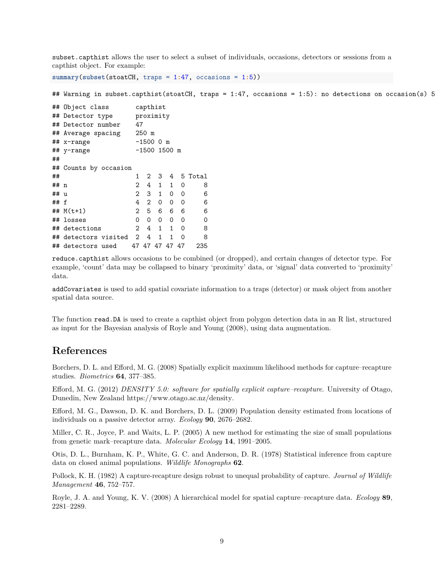subset.capthist allows the user to select a subset of individuals, occasions, detectors or sessions from a capthist object. For example:

**summary**(**subset**(stoatCH, traps = 1**:**47, occasions = 1**:**5))

## Warning in subset.capthist(stoatCH, traps = 1:47, occasions = 1:5): no detections on occasion(s) 5

```
## Object class capthist
## Detector type proximity
## Detector number 47
## Average spacing 250 m
## x-range -1500 0 m
## y-range -1500 1500 m
##
## Counts by occasion
## 1 2 3 4 5 Total
## n 2 4 1 1 0 8
## u 2 3 1 0 0 6
## f 4 2 0 0 0 6
## M(t+1) 2 5 6 6 6 6
## losses 0 0 0 0 0 0
## detections 2 4 1 1 0 8
## detectors visited 2 4 1 1 0 8
## detectors used 47 47 47 47 47 235
```
reduce.capthist allows occasions to be combined (or dropped), and certain changes of detector type. For example, 'count' data may be collapsed to binary 'proximity' data, or 'signal' data converted to 'proximity' data.

addCovariates is used to add spatial covariate information to a traps (detector) or mask object from another spatial data source.

The function read.DA is used to create a capthist object from polygon detection data in an R list, structured as input for the Bayesian analysis of Royle and Young (2008), using data augmentation.

### <span id="page-8-0"></span>**References**

Borchers, D. L. and Efford, M. G. (2008) Spatially explicit maximum likelihood methods for capture–recapture studies. *Biometrics* **64**, 377–385.

Efford, M. G. (2012) *DENSITY 5.0: software for spatially explicit capture–recapture*. University of Otago, Dunedin, New Zealand [https://www.otago.ac.nz/density.](https://www.otago.ac.nz/density)

Efford, M. G., Dawson, D. K. and Borchers, D. L. (2009) Population density estimated from locations of individuals on a passive detector array. *Ecology* **90**, 2676–2682.

Miller, C. R., Joyce, P. and Waits, L. P. (2005) A new method for estimating the size of small populations from genetic mark–recapture data. *Molecular Ecology* **14**, 1991–2005.

Otis, D. L., Burnham, K. P., White, G. C. and Anderson, D. R. (1978) Statistical inference from capture data on closed animal populations. *Wildlife Monographs* **62**.

Pollock, K. H. (1982) A capture-recapture design robust to unequal probability of capture. *Journal of Wildlife Management* **46**, 752–757.

Royle, J. A. and Young, K. V. (2008) A hierarchical model for spatial capture–recapture data. *Ecology* **89**, 2281–2289.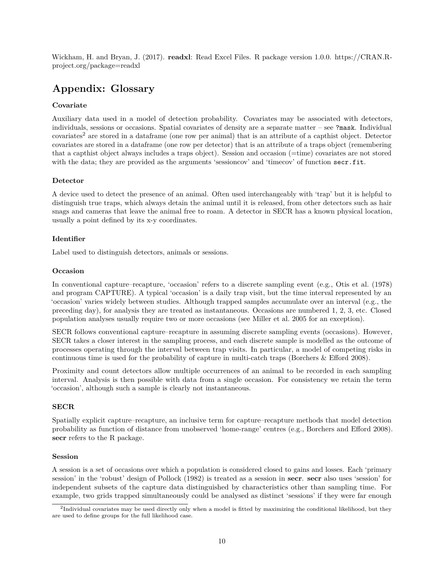Wickham, H. and Bryan, J. (2017). **readxl**: Read Excel Files. R package version 1.0.0. [https://CRAN.R](https://CRAN.R-project.org/package=readxl)[project.org/package=readxl](https://CRAN.R-project.org/package=readxl)

# <span id="page-9-1"></span><span id="page-9-0"></span>**Appendix: Glossary**

### **Covariate**

Auxiliary data used in a model of detection probability. Covariates may be associated with detectors, individuals, sessions or occasions. Spatial covariates of density are a separate matter – see ?mask. Individual covariates<sup>[2](#page-9-2)</sup> are stored in a dataframe (one row per animal) that is an attribute of a capthist object. Detector covariates are stored in a dataframe (one row per detector) that is an attribute of a traps object (remembering that a capthist object always includes a traps object). Session and occasion (=time) covariates are not stored with the data; they are provided as the arguments 'sessioncov' and 'timecov' of function secr.fit.

#### **Detector**

A device used to detect the presence of an animal. Often used interchangeably with 'trap' but it is helpful to distinguish true traps, which always detain the animal until it is released, from other detectors such as hair snags and cameras that leave the animal free to roam. A detector in SECR has a known physical location, usually a point defined by its x-y coordinates.

#### **Identifier**

Label used to distinguish detectors, animals or sessions.

#### **Occasion**

In conventional capture–recapture, 'occasion' refers to a discrete sampling event (e.g., Otis et al. (1978) and program CAPTURE). A typical 'occasion' is a daily trap visit, but the time interval represented by an 'occasion' varies widely between studies. Although trapped samples accumulate over an interval (e.g., the preceding day), for analysis they are treated as instantaneous. Occasions are numbered 1, 2, 3, etc. Closed population analyses usually require two or more occasions (see Miller et al. 2005 for an exception).

SECR follows conventional capture–recapture in assuming discrete sampling events (occasions). However, SECR takes a closer interest in the sampling process, and each discrete sample is modelled as the outcome of processes operating through the interval between trap visits. In particular, a model of competing risks in continuous time is used for the probability of capture in multi-catch traps (Borchers & Efford 2008).

Proximity and count detectors allow multiple occurrences of an animal to be recorded in each sampling interval. Analysis is then possible with data from a single occasion. For consistency we retain the term 'occasion', although such a sample is clearly not instantaneous.

### **SECR**

Spatially explicit capture–recapture, an inclusive term for capture–recapture methods that model detection probability as function of distance from unobserved 'home-range' centres (e.g., Borchers and Efford 2008). **secr** refers to the R package.

#### **Session**

A session is a set of occasions over which a population is considered closed to gains and losses. Each 'primary session' in the 'robust' design of Pollock (1982) is treated as a session in **secr**. **secr** also uses 'session' for independent subsets of the capture data distinguished by characteristics other than sampling time. For example, two grids trapped simultaneously could be analysed as distinct 'sessions' if they were far enough

<span id="page-9-2"></span><sup>&</sup>lt;sup>2</sup>Individual covariates may be used directly only when a model is fitted by maximizing the conditional likelihood, but they are used to define groups for the full likelihood case.